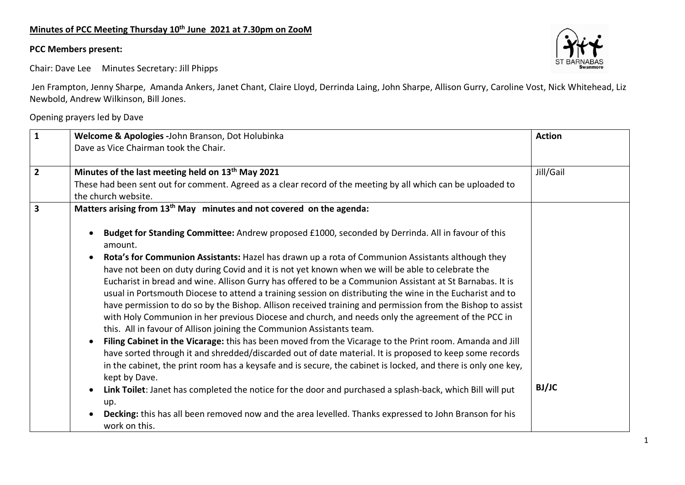## **Minutes of PCC Meeting Thursday 10th June 2021 at 7.30pm on ZooM**

## **PCC Members present:**

Chair: Dave Lee Minutes Secretary: Jill Phipps

Jen Frampton, Jenny Sharpe, Amanda Ankers, Janet Chant, Claire Lloyd, Derrinda Laing, John Sharpe, Allison Gurry, Caroline Vost, Nick Whitehead, Liz Newbold, Andrew Wilkinson, Bill Jones.

Opening prayers led by Dave

| $\mathbf{1}$            | Welcome & Apologies -John Branson, Dot Holubinka                                                                                                                                                                                                                                                                                                                                                                                                                                                                                                                                                                                                                                                                                                                                                                                                                                                                                                                                                                                                                                                                                                                                                 | <b>Action</b> |
|-------------------------|--------------------------------------------------------------------------------------------------------------------------------------------------------------------------------------------------------------------------------------------------------------------------------------------------------------------------------------------------------------------------------------------------------------------------------------------------------------------------------------------------------------------------------------------------------------------------------------------------------------------------------------------------------------------------------------------------------------------------------------------------------------------------------------------------------------------------------------------------------------------------------------------------------------------------------------------------------------------------------------------------------------------------------------------------------------------------------------------------------------------------------------------------------------------------------------------------|---------------|
|                         | Dave as Vice Chairman took the Chair.                                                                                                                                                                                                                                                                                                                                                                                                                                                                                                                                                                                                                                                                                                                                                                                                                                                                                                                                                                                                                                                                                                                                                            |               |
| $\overline{2}$          | Minutes of the last meeting held on 13 <sup>th</sup> May 2021                                                                                                                                                                                                                                                                                                                                                                                                                                                                                                                                                                                                                                                                                                                                                                                                                                                                                                                                                                                                                                                                                                                                    | Jill/Gail     |
|                         | These had been sent out for comment. Agreed as a clear record of the meeting by all which can be uploaded to<br>the church website.                                                                                                                                                                                                                                                                                                                                                                                                                                                                                                                                                                                                                                                                                                                                                                                                                                                                                                                                                                                                                                                              |               |
| $\overline{\mathbf{3}}$ | Matters arising from 13 <sup>th</sup> May minutes and not covered on the agenda:                                                                                                                                                                                                                                                                                                                                                                                                                                                                                                                                                                                                                                                                                                                                                                                                                                                                                                                                                                                                                                                                                                                 |               |
|                         | Budget for Standing Committee: Andrew proposed £1000, seconded by Derrinda. All in favour of this<br>amount.                                                                                                                                                                                                                                                                                                                                                                                                                                                                                                                                                                                                                                                                                                                                                                                                                                                                                                                                                                                                                                                                                     |               |
|                         | Rota's for Communion Assistants: Hazel has drawn up a rota of Communion Assistants although they<br>have not been on duty during Covid and it is not yet known when we will be able to celebrate the<br>Eucharist in bread and wine. Allison Gurry has offered to be a Communion Assistant at St Barnabas. It is<br>usual in Portsmouth Diocese to attend a training session on distributing the wine in the Eucharist and to<br>have permission to do so by the Bishop. Allison received training and permission from the Bishop to assist<br>with Holy Communion in her previous Diocese and church, and needs only the agreement of the PCC in<br>this. All in favour of Allison joining the Communion Assistants team.<br>Filing Cabinet in the Vicarage: this has been moved from the Vicarage to the Print room. Amanda and Jill<br>have sorted through it and shredded/discarded out of date material. It is proposed to keep some records<br>in the cabinet, the print room has a keysafe and is secure, the cabinet is locked, and there is only one key,<br>kept by Dave.<br>Link Toilet: Janet has completed the notice for the door and purchased a splash-back, which Bill will put | <b>BJ/JC</b>  |
|                         | up.<br>Decking: this has all been removed now and the area levelled. Thanks expressed to John Branson for his<br>work on this.                                                                                                                                                                                                                                                                                                                                                                                                                                                                                                                                                                                                                                                                                                                                                                                                                                                                                                                                                                                                                                                                   |               |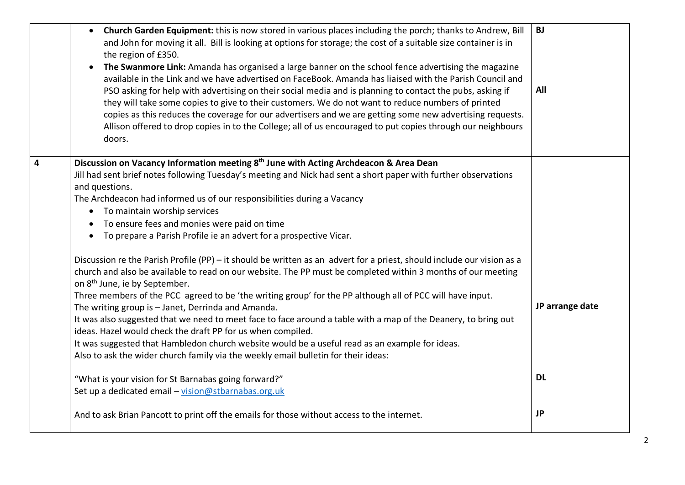|                | Church Garden Equipment: this is now stored in various places including the porch; thanks to Andrew, Bill<br>$\bullet$<br>and John for moving it all. Bill is looking at options for storage; the cost of a suitable size container is in<br>the region of £350.<br>The Swanmore Link: Amanda has organised a large banner on the school fence advertising the magazine<br>$\bullet$<br>available in the Link and we have advertised on FaceBook. Amanda has liaised with the Parish Council and<br>PSO asking for help with advertising on their social media and is planning to contact the pubs, asking if<br>they will take some copies to give to their customers. We do not want to reduce numbers of printed<br>copies as this reduces the coverage for our advertisers and we are getting some new advertising requests.<br>Allison offered to drop copies in to the College; all of us encouraged to put copies through our neighbours<br>doors. | <b>BJ</b><br>All |
|----------------|-----------------------------------------------------------------------------------------------------------------------------------------------------------------------------------------------------------------------------------------------------------------------------------------------------------------------------------------------------------------------------------------------------------------------------------------------------------------------------------------------------------------------------------------------------------------------------------------------------------------------------------------------------------------------------------------------------------------------------------------------------------------------------------------------------------------------------------------------------------------------------------------------------------------------------------------------------------|------------------|
| $\overline{4}$ | Discussion on Vacancy Information meeting 8 <sup>th</sup> June with Acting Archdeacon & Area Dean<br>Jill had sent brief notes following Tuesday's meeting and Nick had sent a short paper with further observations<br>and questions.<br>The Archdeacon had informed us of our responsibilities during a Vacancy<br>To maintain worship services<br>$\bullet$<br>To ensure fees and monies were paid on time<br>• To prepare a Parish Profile ie an advert for a prospective Vicar.                                                                                                                                                                                                                                                                                                                                                                                                                                                                      |                  |
|                | Discussion re the Parish Profile (PP) - it should be written as an advert for a priest, should include our vision as a<br>church and also be available to read on our website. The PP must be completed within 3 months of our meeting<br>on 8 <sup>th</sup> June, ie by September.<br>Three members of the PCC agreed to be 'the writing group' for the PP although all of PCC will have input.<br>The writing group is - Janet, Derrinda and Amanda.<br>It was also suggested that we need to meet face to face around a table with a map of the Deanery, to bring out<br>ideas. Hazel would check the draft PP for us when compiled.<br>It was suggested that Hambledon church website would be a useful read as an example for ideas.<br>Also to ask the wider church family via the weekly email bulletin for their ideas:                                                                                                                           | JP arrange date  |
|                | "What is your vision for St Barnabas going forward?"<br>Set up a dedicated email - vision@stbarnabas.org.uk                                                                                                                                                                                                                                                                                                                                                                                                                                                                                                                                                                                                                                                                                                                                                                                                                                               | <b>DL</b>        |
|                | And to ask Brian Pancott to print off the emails for those without access to the internet.                                                                                                                                                                                                                                                                                                                                                                                                                                                                                                                                                                                                                                                                                                                                                                                                                                                                | <b>JP</b>        |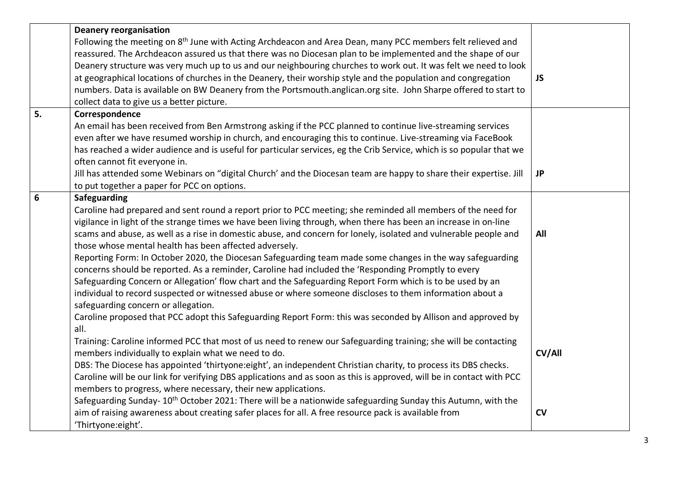|    | <b>Deanery reorganisation</b>                                                                                           |           |
|----|-------------------------------------------------------------------------------------------------------------------------|-----------|
|    | Following the meeting on 8 <sup>th</sup> June with Acting Archdeacon and Area Dean, many PCC members felt relieved and  |           |
|    | reassured. The Archdeacon assured us that there was no Diocesan plan to be implemented and the shape of our             |           |
|    | Deanery structure was very much up to us and our neighbouring churches to work out. It was felt we need to look         |           |
|    | at geographical locations of churches in the Deanery, their worship style and the population and congregation           | <b>JS</b> |
|    | numbers. Data is available on BW Deanery from the Portsmouth.anglican.org site. John Sharpe offered to start to         |           |
|    | collect data to give us a better picture.                                                                               |           |
| 5. | Correspondence                                                                                                          |           |
|    | An email has been received from Ben Armstrong asking if the PCC planned to continue live-streaming services             |           |
|    | even after we have resumed worship in church, and encouraging this to continue. Live-streaming via FaceBook             |           |
|    | has reached a wider audience and is useful for particular services, eg the Crib Service, which is so popular that we    |           |
|    | often cannot fit everyone in.                                                                                           |           |
|    | Jill has attended some Webinars on "digital Church' and the Diocesan team are happy to share their expertise. Jill      | <b>JP</b> |
|    | to put together a paper for PCC on options.                                                                             |           |
| 6  | Safeguarding                                                                                                            |           |
|    | Caroline had prepared and sent round a report prior to PCC meeting; she reminded all members of the need for            |           |
|    | vigilance in light of the strange times we have been living through, when there has been an increase in on-line         |           |
|    | scams and abuse, as well as a rise in domestic abuse, and concern for lonely, isolated and vulnerable people and        | All       |
|    | those whose mental health has been affected adversely.                                                                  |           |
|    | Reporting Form: In October 2020, the Diocesan Safeguarding team made some changes in the way safeguarding               |           |
|    | concerns should be reported. As a reminder, Caroline had included the 'Responding Promptly to every                     |           |
|    | Safeguarding Concern or Allegation' flow chart and the Safeguarding Report Form which is to be used by an               |           |
|    | individual to record suspected or witnessed abuse or where someone discloses to them information about a                |           |
|    | safeguarding concern or allegation.                                                                                     |           |
|    | Caroline proposed that PCC adopt this Safeguarding Report Form: this was seconded by Allison and approved by            |           |
|    | all.                                                                                                                    |           |
|    | Training: Caroline informed PCC that most of us need to renew our Safeguarding training; she will be contacting         |           |
|    | members individually to explain what we need to do.                                                                     | CV/All    |
|    | DBS: The Diocese has appointed 'thirtyone:eight', an independent Christian charity, to process its DBS checks.          |           |
|    | Caroline will be our link for verifying DBS applications and as soon as this is approved, will be in contact with PCC   |           |
|    | members to progress, where necessary, their new applications.                                                           |           |
|    | Safeguarding Sunday-10 <sup>th</sup> October 2021: There will be a nationwide safeguarding Sunday this Autumn, with the |           |
|    | aim of raising awareness about creating safer places for all. A free resource pack is available from                    | CV        |
|    | 'Thirtyone:eight'.                                                                                                      |           |